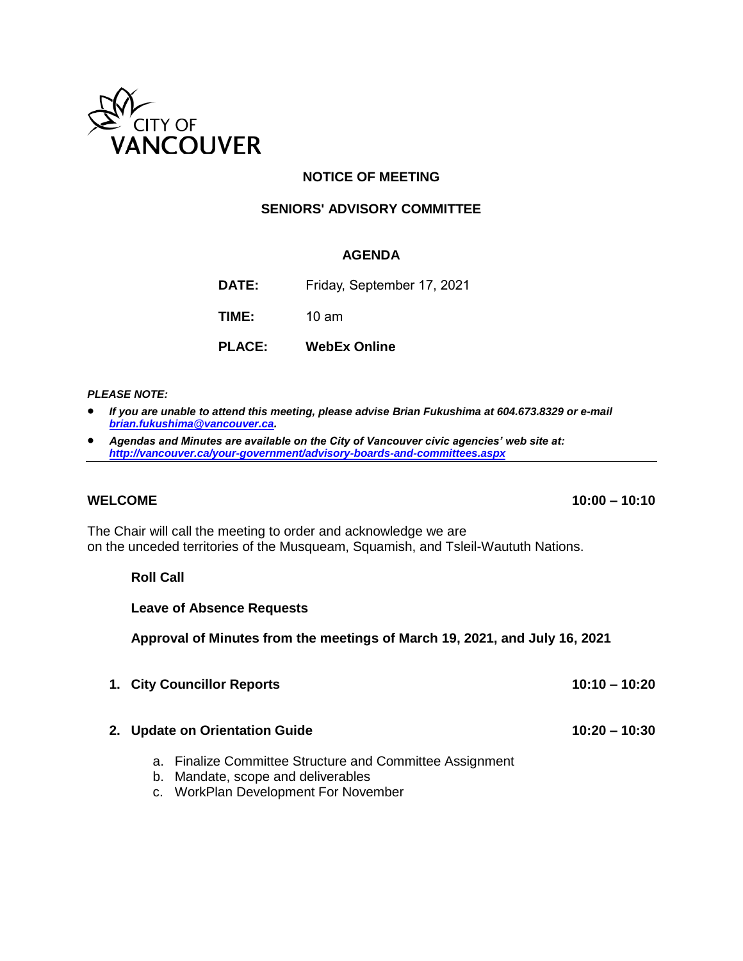

## **NOTICE OF MEETING**

#### **SENIORS' ADVISORY COMMITTEE**

#### **AGENDA**

**DATE:** Friday, September 17, 2021

**TIME:** 10 am

**PLACE: WebEx Online**

#### *PLEASE NOTE:*

- *If you are unable to attend this meeting, please advise Brian Fukushima at 604.673.8329 or e-mail [brian.fukushima@vancouver.ca.](mailto:brian.fukushima@vancouver.ca)*
- *Agendas and Minutes are available on the City of Vancouver civic agencies' web site at: <http://vancouver.ca/your-government/advisory-boards-and-committees.aspx>*

The Chair will call the meeting to order and acknowledge we are on the unceded territories of the Musqueam, Squamish, and Tsleil-Waututh Nations.

#### **Roll Call**

**Leave of Absence Requests**

**Approval of Minutes from the meetings of March 19, 2021, and July 16, 2021**

**1. City Councillor Reports 10:10 – 10:20**

#### **2. Update on Orientation Guide 10:20 – 10:30**

- a. Finalize Committee Structure and Committee Assignment
- b. Mandate, scope and deliverables
- c. WorkPlan Development For November

**WELCOME 10:00 – 10:10**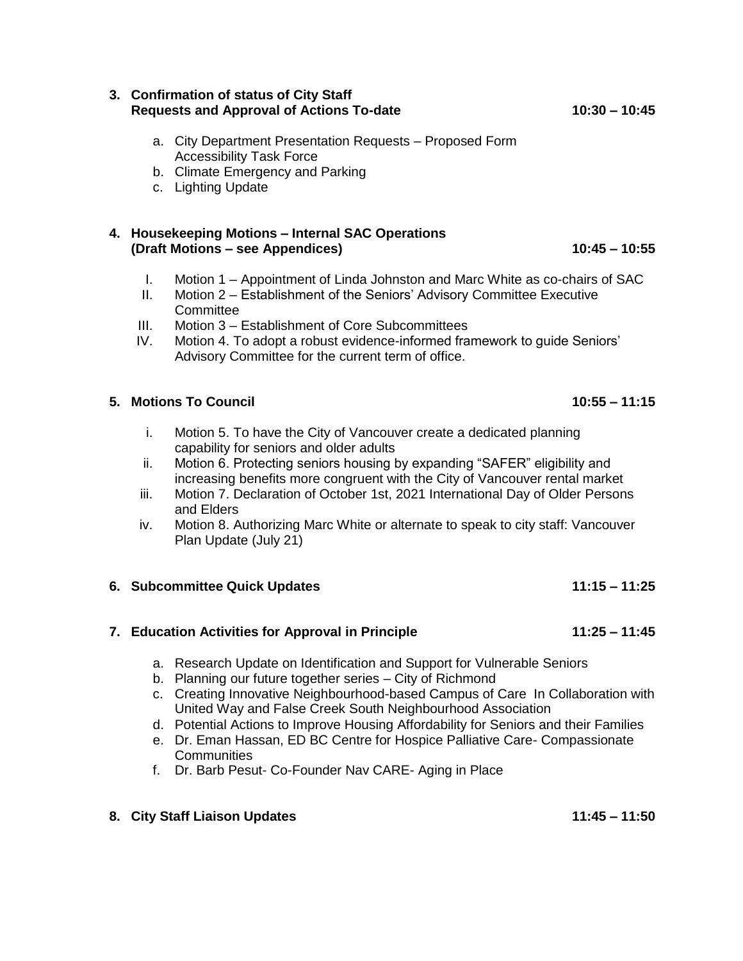#### **3. Confirmation of status of City Staff Requests and Approval of Actions To-date 10:30 – 10:45**

- a. City Department Presentation Requests Proposed Form Accessibility Task Force
- b. Climate Emergency and Parking
- c. Lighting Update

#### **4. Housekeeping Motions – Internal SAC Operations (Draft Motions – see Appendices) 10:45 – 10:55**

- I. Motion 1 Appointment of Linda Johnston and Marc White as co-chairs of SAC
- II. Motion 2 Establishment of the Seniors' Advisory Committee Executive **Committee**
- III. Motion 3 Establishment of Core Subcommittees
- IV. Motion 4. To adopt a robust evidence-informed framework to guide Seniors' Advisory Committee for the current term of office.

## **5. Motions To Council 10:55 – 11:15**

- i. Motion 5. To have the City of Vancouver create a dedicated planning capability for seniors and older adults
- ii. Motion 6. Protecting seniors housing by expanding "SAFER" eligibility and increasing benefits more congruent with the City of Vancouver rental market
- iii. Motion 7. Declaration of October 1st, 2021 International Day of Older Persons and Elders
- iv. Motion 8. Authorizing Marc White or alternate to speak to city staff: Vancouver Plan Update (July 21)

## **6. Subcommittee Quick Updates 11:15 – 11:25**

### **7. Education Activities for Approval in Principle 11:25 – 11:45**

- a. Research Update on Identification and Support for Vulnerable Seniors
- b. Planning our future together series City of Richmond
- c. Creating Innovative Neighbourhood-based Campus of Care In Collaboration with United Way and False Creek South Neighbourhood Association
- d. Potential Actions to Improve Housing Affordability for Seniors and their Families
- e. Dr. Eman Hassan, ED BC Centre for Hospice Palliative Care- Compassionate **Communities**
- f. Dr. Barb Pesut- Co-Founder Nav CARE- Aging in Place

## **8. City Staff Liaison Updates 11:45 – 11:50**